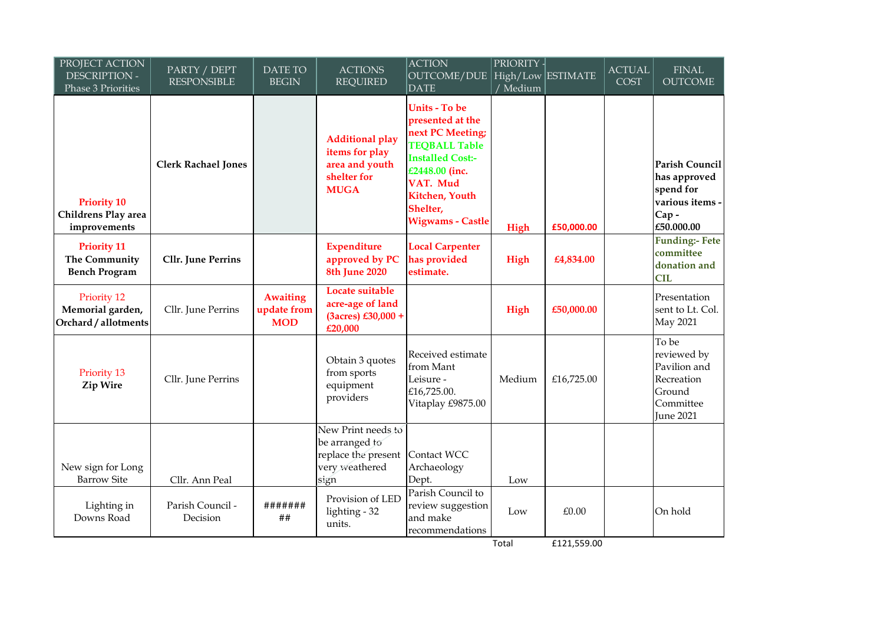| PROJECT ACTION<br><b>DESCRIPTION -</b><br>Phase 3 Priorities | PARTY / DEPT<br><b>RESPONSIBLE</b> | <b>DATE TO</b><br><b>BEGIN</b>               | <b>ACTIONS</b><br><b>REQUIRED</b>                                                        | <b>ACTION</b><br>OUTCOME/DUE   High/Low   ESTIMATE<br>DATE                                                                                                                                             | PRIORITY - <br>/ Medium |             | <b>ACTUAL</b><br><b>COST</b> | <b>FINAL</b><br><b>OUTCOME</b>                                                                |
|--------------------------------------------------------------|------------------------------------|----------------------------------------------|------------------------------------------------------------------------------------------|--------------------------------------------------------------------------------------------------------------------------------------------------------------------------------------------------------|-------------------------|-------------|------------------------------|-----------------------------------------------------------------------------------------------|
| <b>Priority 10</b><br>Childrens Play area<br>improvements    | <b>Clerk Rachael Jones</b>         |                                              | <b>Additional play</b><br>items for play<br>area and youth<br>shelter for<br><b>MUGA</b> | <b>Units - To be</b><br>presented at the<br>next PC Meeting;<br><b>TEQBALL Table</b><br><b>Installed Cost:-</b><br>£2448.00 (inc.<br>VAT. Mud<br>Kitchen, Youth<br>Shelter,<br><b>Wigwams - Castle</b> | High                    | £50,000.00  |                              | Parish Council<br>has approved<br>spend for<br>various items -<br>Cap-<br>£50.000.00          |
| <b>Priority 11</b><br>The Community<br><b>Bench Program</b>  | <b>Cllr.</b> June Perrins          |                                              | <b>Expenditure</b><br>approved by PC<br><b>8th June 2020</b>                             | <b>Local Carpenter</b><br>has provided<br>estimate.                                                                                                                                                    | High                    | £4,834.00   |                              | <b>Funding:- Fete</b><br>committee<br>donation and<br><b>CIL</b>                              |
| Priority 12<br>Memorial garden,<br>Orchard / allotments      | Cllr. June Perrins                 | <b>Awaiting</b><br>update from<br><b>MOD</b> | Locate suitable<br>acre-age of land<br>$(3a$ cres) £30,000 +<br>£20,000                  |                                                                                                                                                                                                        | High                    | £50,000.00  |                              | Presentation<br>sent to Lt. Col.<br><b>May 2021</b>                                           |
| Priority 13<br>Zip Wire                                      | Cllr. June Perrins                 |                                              | Obtain 3 quotes<br>from sports<br>equipment<br>providers                                 | Received estimate<br>from Mant<br>Leisure -<br>£16,725.00.<br>Vitaplay £9875.00                                                                                                                        | Medium                  | £16,725.00  |                              | To be<br>reviewed by<br>Pavilion and<br>Recreation<br>Ground<br>Committee<br><b>June 2021</b> |
| New sign for Long<br><b>Barrow Site</b>                      | Cllr. Ann Peal                     |                                              | New Print needs to<br>be arranged to<br>replace the present<br>very weathered<br>sign    | Contact WCC<br>Archaeology<br>Dept.                                                                                                                                                                    | Low                     |             |                              |                                                                                               |
| Lighting in<br>Downs Road                                    | Parish Council -<br>Decision       | #######<br>##                                | Provision of LED<br>lighting - 32<br>units.                                              | Parish Council to<br>review suggestion<br>and make<br>recommendations                                                                                                                                  | Low                     | £0.00       |                              | On hold                                                                                       |
|                                                              |                                    |                                              |                                                                                          |                                                                                                                                                                                                        | Total                   | £121,559.00 |                              |                                                                                               |